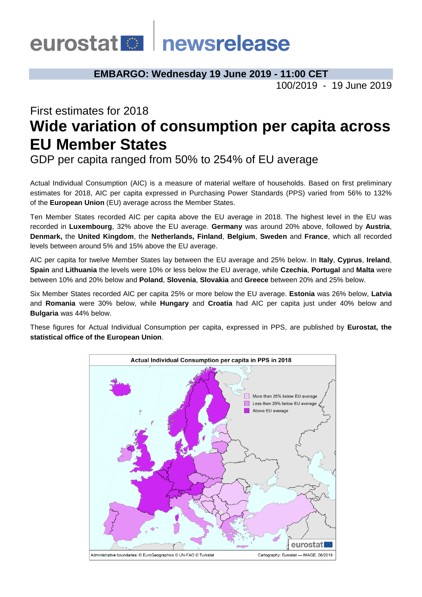# eurostat **Demokratische Schwarze**

**EMBARGO: Wednesday 19 June 2019 - 11:00 CET**

100/2019 - 19 June 2019

# First estimates for 2018 **Wide variation of consumption per capita across EU Member States**

GDP per capita ranged from 50% to 254% of EU average

Actual Individual Consumption (AIC) is a measure of material welfare of households. Based on first preliminary estimates for 2018, AIC per capita expressed in Purchasing Power Standards (PPS) varied from 56% to 132% of the **European Union** (EU) average across the Member States.

Ten Member States recorded AIC per capita above the EU average in 2018. The highest level in the EU was recorded in **Luxembourg**, 32% above the EU average. **Germany** was around 20% above, followed by **Austria**, **Denmark,** the **United Kingdom**, the **Netherlands, Finland**, **Belgium**, **Sweden** and **France**, which all recorded levels between around 5% and 15% above the EU average.

AIC per capita for twelve Member States lay between the EU average and 25% below. In **Italy**, **Cyprus**, **Ireland**, **Spain** and **Lithuania** the levels were 10% or less below the EU average, while **Czechia**, **Portugal** and **Malta** were between 10% and 20% below and **Poland**, **Slovenia**, **Slovakia** and **Greece** between 20% and 25% below.

Six Member States recorded AIC per capita 25% or more below the EU average. **Estonia** was 26% below, **Latvia** and **Romania** were 30% below, while **Hungary** and **Croatia** had AIC per capita just under 40% below and **Bulgaria** was 44% below.

These figures for Actual Individual Consumption per capita, expressed in PPS, are published by **Eurostat, the statistical office of the European Union**.

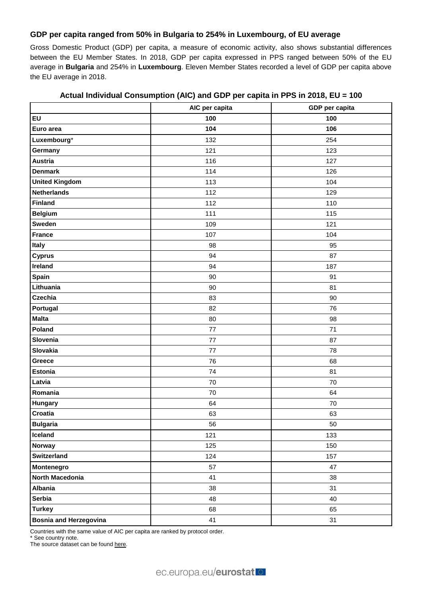### **GDP per capita ranged from 50% in Bulgaria to 254% in Luxembourg, of EU average**

Gross Domestic Product (GDP) per capita, a measure of economic activity, also shows substantial differences between the EU Member States. In 2018, GDP per capita expressed in PPS ranged between 50% of the EU average in **Bulgaria** and 254% in **Luxembourg**. Eleven Member States recorded a level of GDP per capita above the EU average in 2018.

|                               | AIC per capita | GDP per capita |
|-------------------------------|----------------|----------------|
| EU                            | 100            | 100            |
| Euro area                     | 104            | 106            |
| Luxembourg*                   | 132            | 254            |
| Germany                       | 121            | 123            |
| <b>Austria</b>                | 116            | 127            |
| <b>Denmark</b>                | 114            | 126            |
| <b>United Kingdom</b>         | 113            | 104            |
| <b>Netherlands</b>            | 112            | 129            |
| <b>Finland</b>                | 112            | 110            |
| <b>Belgium</b>                | 111            | 115            |
| <b>Sweden</b>                 | 109            | 121            |
| <b>France</b>                 | 107            | 104            |
| Italy                         | 98             | 95             |
| <b>Cyprus</b>                 | 94             | 87             |
| Ireland                       | 94             | 187            |
| Spain                         | 90             | 91             |
| Lithuania                     | 90             | 81             |
| <b>Czechia</b>                | 83             | 90             |
| Portugal                      | 82             | 76             |
| <b>Malta</b>                  | 80             | 98             |
| Poland                        | 77             | 71             |
| Slovenia                      | $77 \,$        | 87             |
| Slovakia                      | 77             | 78             |
| Greece                        | 76             | 68             |
| <b>Estonia</b>                | 74             | 81             |
| Latvia                        | 70             | 70             |
| Romania                       | 70             | 64             |
| Hungary                       | 64             | 70             |
| Croatia                       | 63             | 63             |
| <b>Bulgaria</b>               | 56             | 50             |
| Iceland                       | 121            | 133            |
| Norway                        | 125            | 150            |
| Switzerland                   | 124            | 157            |
| Montenegro                    | 57             | 47             |
| North Macedonia               | 41             | 38             |
| <b>Albania</b>                | 38             | 31             |
| <b>Serbia</b>                 | 48             | 40             |
| <b>Turkey</b>                 | 68             | 65             |
| <b>Bosnia and Herzegovina</b> | 41             | 31             |

## **Actual Individual Consumption (AIC) and GDP per capita in PPS in 2018, EU = 100**

Countries with the same value of AIC per capita are ranked by protocol order.

\* See country note.

The source dataset can be foun[d here.](http://appsso.eurostat.ec.europa.eu/nui/show.do?query=BOOKMARK_DS-053404_QID_75B61709_UID_-3F171EB0&layout=TIME,C,X,0;GEO,L,Y,0;NA_ITEM,L,Z,0;PPP_CAT,L,Z,1;INDICATORS,C,Z,2;&zSelection=DS-053404INDICATORS,OBS_FLAG;DS-053404PPP_CAT,A01;DS-053404NA_ITEM,VI_PPS_EU28_HAB;&rankName1=PPP-CAT_1_2_-1_2&rankName2=INDICATORS_1_2_-1_2&rankName3=NA-ITEM_1_2_-1_2&rankName4=TIME_1_0_0_0&rankName5=GEO_1_2_0_1&sortC=ASC_-1_FIRST&rStp=&cStp=&rDCh=&cDCh=&rDM=true&cDM=true&footnes=false&empty=false&wai=false&time_mode=NONE&time_most_recent=false&lang=EN&cfo=%23%23%23%2C%23%23%23.%23%23%23)